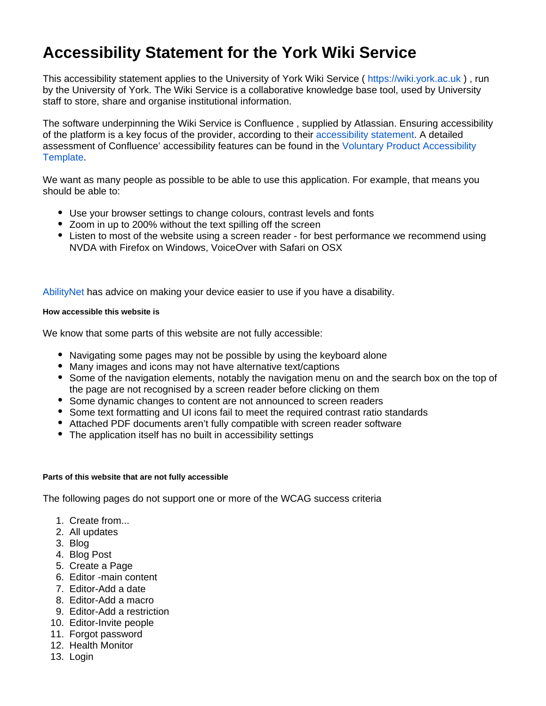# **Accessibility Statement for the York Wiki Service**

This accessibility statement applies to the University of York Wiki Service ( <https://wiki.york.ac.uk>), run by the University of York. The Wiki Service is a collaborative knowledge base tool, used by University staff to store, share and organise institutional information.

The software underpinning the Wiki Service is Confluence , supplied by Atlassian. Ensuring accessibility of the platform is a key focus of the provider, according to their [accessibility statement.](https://www.atlassian.com/accessibility) A detailed assessment of Confluence' accessibility features can be found in the [Voluntary Product Accessibility](https://confluence.atlassian.com/display/ACCESSIBILITY/Confluence+Server+and+Data+Center+VPAT+for+Section+508+compliance)  [Template.](https://confluence.atlassian.com/display/ACCESSIBILITY/Confluence+Server+and+Data+Center+VPAT+for+Section+508+compliance)

We want as many people as possible to be able to use this application. For example, that means you should be able to:

- Use your browser settings to change colours, contrast levels and fonts
- Zoom in up to 200% without the text spilling off the screen
- Listen to most of the website using a screen reader for best performance we recommend using NVDA with Firefox on Windows, VoiceOver with Safari on OSX

[AbilityNet](https://mcmw.abilitynet.org.uk/) has advice on making your device easier to use if you have a disability.

#### **How accessible this website is**

We know that some parts of this website are not fully accessible:

- Navigating some pages may not be possible by using the keyboard alone
- Many images and icons may not have alternative text/captions
- Some of the navigation elements, notably the navigation menu on and the search box on the top of the page are not recognised by a screen reader before clicking on them
- Some dynamic changes to content are not announced to screen readers
- Some text formatting and UI icons fail to meet the required contrast ratio standards
- Attached PDF documents aren't fully compatible with screen reader software
- The application itself has no built in accessibility settings

#### **Parts of this website that are not fully accessible**

The following pages do not support one or more of the WCAG success criteria

- 1. Create from...
- 2. All updates
- 3. Blog
- 4. Blog Post
- 5. Create a Page
- 6. Editor -main content
- 7. Editor-Add a date
- 8. Editor-Add a macro
- 9. Editor-Add a restriction
- 10. Editor-Invite people
- 11. Forgot password
- 12. Health Monitor
- 13. Login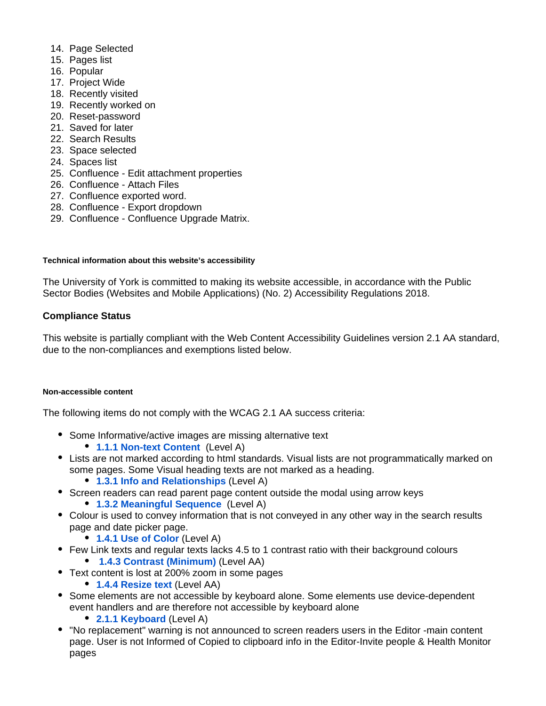- 14. Page Selected
- 15. Pages list
- 16. Popular
- 17. Project Wide
- 18. Recently visited
- 19. Recently worked on
- 20. Reset-password
- 21. Saved for later
- 22. Search Results
- 23. Space selected
- 24. Spaces list
- 25. Confluence Edit attachment properties
- 26. Confluence Attach Files
- 27. Confluence exported word.
- 28. Confluence Export dropdown
- 29. Confluence Confluence Upgrade Matrix.

### **Technical information about this website's accessibility**

The University of York is committed to making its website accessible, in accordance with the Public Sector Bodies (Websites and Mobile Applications) (No. 2) Accessibility Regulations 2018.

## **Compliance Status**

This website is partially compliant with the Web Content Accessibility Guidelines version 2.1 AA standard, due to the non-compliances and exemptions listed below.

#### **Non-accessible content**

The following items do not comply with the WCAG 2.1 AA success criteria:

- Some Informative/active images are missing alternative text
	- **[1.1.1 Non-text Content](http://www.w3.org/TR/WCAG20/#text-equiv-all)** (Level A)
- Lists are not marked according to html standards. Visual lists are not programmatically marked on some pages. Some Visual heading texts are not marked as a heading.
	- **[1.3.1 Info and Relationships](http://www.w3.org/TR/WCAG20/#content-structure-separation-programmatic)** (Level A)
- Screen readers can read parent page content outside the modal using arrow keys
	- **[1.3.2 Meaningful Sequence](http://www.w3.org/TR/WCAG20/#content-structure-separation-sequence)** (Level A)
- Colour is used to convey information that is not conveyed in any other way in the search results page and date picker page.
	- **[1.4.1 Use of Color](http://www.w3.org/TR/WCAG20/#visual-audio-contrast-without-color)** (Level A)
- Few Link texts and regular texts lacks 4.5 to 1 contrast ratio with their background colours
	- **[1.4.3 Contrast \(Minimum\)](http://www.w3.org/TR/WCAG20/#visual-audio-contrast-contrast)** (Level AA)
- Text content is lost at 200% zoom in some pages
	- **[1.4.4 Resize text](http://www.w3.org/TR/WCAG20/#visual-audio-contrast-scale)** (Level AA)
- Some elements are not accessible by keyboard alone. Some elements use device-dependent event handlers and are therefore not accessible by keyboard alone
	- **[2.1.1 Keyboard](http://www.w3.org/TR/WCAG20/#keyboard-operation-keyboard-operable)** (Level A)
- "No replacement" warning is not announced to screen readers users in the Editor -main content page. User is not Informed of Copied to clipboard info in the Editor-Invite people & Health Monitor pages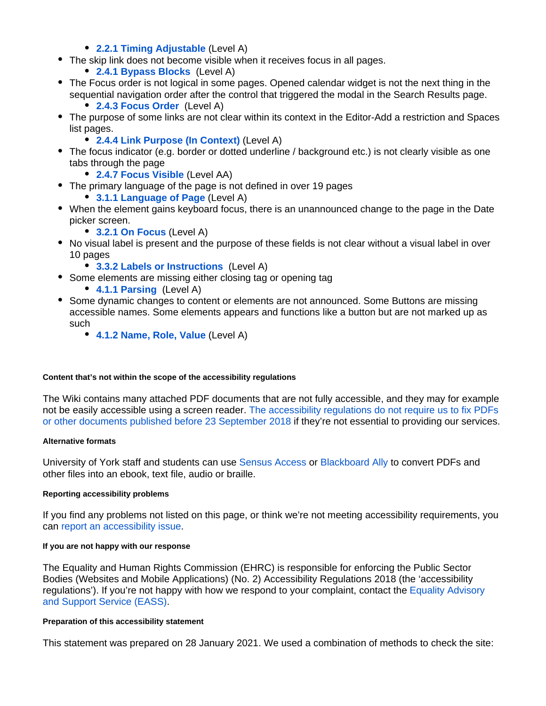- **[2.2.1 Timing Adjustable](http://www.w3.org/TR/WCAG20/#time-limits-required-behaviors)** (Level A)
- The skip link does not become visible when it receives focus in all pages.
	- **[2.4.1 Bypass Blocks](http://www.w3.org/TR/WCAG20/#navigation-mechanisms-skip)** (Level A)
- The Focus order is not logical in some pages. Opened calendar widget is not the next thing in the sequential navigation order after the control that triggered the modal in the Search Results page.
	- **[2.4.3 Focus Order](http://www.w3.org/TR/WCAG20/#navigation-mechanisms-focus-order)** (Level A)
- The purpose of some links are not clear within its context in the Editor-Add a restriction and Spaces list pages.
	- **[2.4.4 Link Purpose \(In Context\)](http://www.w3.org/TR/WCAG20/#navigation-mechanisms-refs)** (Level A)
- The focus indicator (e.g. border or dotted underline / background etc.) is not clearly visible as one tabs through the page
	- **[2.4.7 Focus Visible](http://www.w3.org/TR/WCAG20/#navigation-mechanisms-focus-visible)** (Level AA)
- The primary language of the page is not defined in over 19 pages
	- **[3.1.1 Language of Page](http://www.w3.org/TR/WCAG20/#meaning-doc-lang-id)** (Level A)
- When the element gains keyboard focus, there is an unannounced change to the page in the Date picker screen.
	- **[3.2.1 On Focus](http://www.w3.org/TR/WCAG20/#consistent-behavior-receive-focus)** (Level A)
- No visual label is present and the purpose of these fields is not clear without a visual label in over 10 pages
	- **[3.3.2 Labels or Instructions](http://www.w3.org/TR/WCAG20/#minimize-error-cues)** (Level A)
- Some elements are missing either closing tag or opening tag
	- **[4.1.1 Parsing](http://www.w3.org/TR/WCAG20/#ensure-compat-parses)** (Level A)
- Some dynamic changes to content or elements are not announced. Some Buttons are missing accessible names. Some elements appears and functions like a button but are not marked up as such
	- **[4.1.2 Name, Role, Value](http://www.w3.org/TR/WCAG20/#ensure-compat-rsv)** (Level A)

#### **Content that's not within the scope of the accessibility regulations**

The Wiki contains many attached PDF documents that are not fully accessible, and they may for example not be easily accessible using a screen reader. The accessibility regulations do not require us to fix PDFs [or other documents published before 23 September 2018](https://www.legislation.gov.uk/uksi/2018/952/regulation/4/made) if they're not essential to providing our services.

#### **Alternative formats**

University of York staff and students can us[e Sensus Access](https://www.york.ac.uk/library/accessibility/#tab-5) or [Blackboard Ally](https://ally.ac/covid19/) to convert PDFs and other files into an ebook, text file, audio or braille.

#### **Reporting accessibility problems**

If you find any problems not listed on this page, or think we're not meeting accessibility requirements, you can [report an accessibility issue](https://www.york.ac.uk/about/legal-statements/accessibility/report/).

#### **If you are not happy with our response**

The Equality and Human Rights Commission (EHRC) is responsible for enforcing the Public Sector Bodies (Websites and Mobile Applications) (No. 2) Accessibility Regulations 2018 (the 'accessibility regulations'). If you're not happy with how we respond to your complaint, contact the [Equality Advisory](https://www.equalityadvisoryservice.com/)  [and Support Service \(EASS\)](https://www.equalityadvisoryservice.com/).

#### **Preparation of this accessibility statement**

This statement was prepared on 28 January 2021. We used a combination of methods to check the site: